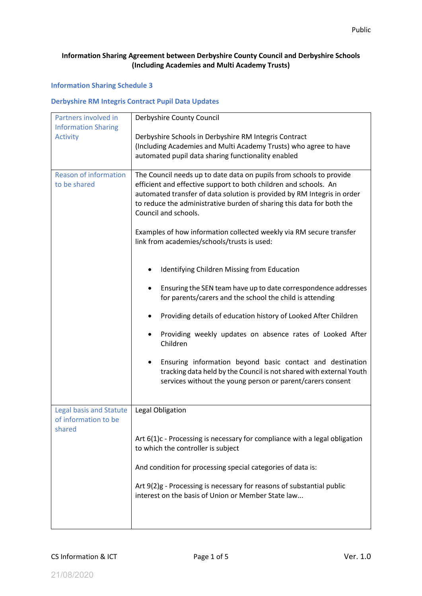## **Information Sharing Agreement between Derbyshire County Council and Derbyshire Schools (Including Academies and Multi Academy Trusts)**

## **Information Sharing Schedule 3**

## **Derbyshire RM Integris Contract Pupil Data Updates**

| Partners involved in           | Derbyshire County Council                                                  |
|--------------------------------|----------------------------------------------------------------------------|
| <b>Information Sharing</b>     |                                                                            |
| <b>Activity</b>                | Derbyshire Schools in Derbyshire RM Integris Contract                      |
|                                | (Including Academies and Multi Academy Trusts) who agree to have           |
|                                | automated pupil data sharing functionality enabled                         |
| <b>Reason of information</b>   | The Council needs up to date data on pupils from schools to provide        |
| to be shared                   | efficient and effective support to both children and schools. An           |
|                                | automated transfer of data solution is provided by RM Integris in order    |
|                                | to reduce the administrative burden of sharing this data for both the      |
|                                | Council and schools.                                                       |
|                                | Examples of how information collected weekly via RM secure transfer        |
|                                | link from academies/schools/trusts is used:                                |
|                                |                                                                            |
|                                |                                                                            |
|                                | Identifying Children Missing from Education                                |
|                                | Ensuring the SEN team have up to date correspondence addresses             |
|                                | for parents/carers and the school the child is attending                   |
|                                | Providing details of education history of Looked After Children            |
|                                |                                                                            |
|                                | Providing weekly updates on absence rates of Looked After<br>٠             |
|                                | Children                                                                   |
|                                | Ensuring information beyond basic contact and destination                  |
|                                | tracking data held by the Council is not shared with external Youth        |
|                                | services without the young person or parent/carers consent                 |
|                                |                                                                            |
| <b>Legal basis and Statute</b> | Legal Obligation                                                           |
| of information to be           |                                                                            |
| shared                         |                                                                            |
|                                | Art 6(1)c - Processing is necessary for compliance with a legal obligation |
|                                | to which the controller is subject                                         |
|                                | And condition for processing special categories of data is:                |
|                                |                                                                            |
|                                | Art 9(2)g - Processing is necessary for reasons of substantial public      |
|                                | interest on the basis of Union or Member State law                         |
|                                |                                                                            |
|                                |                                                                            |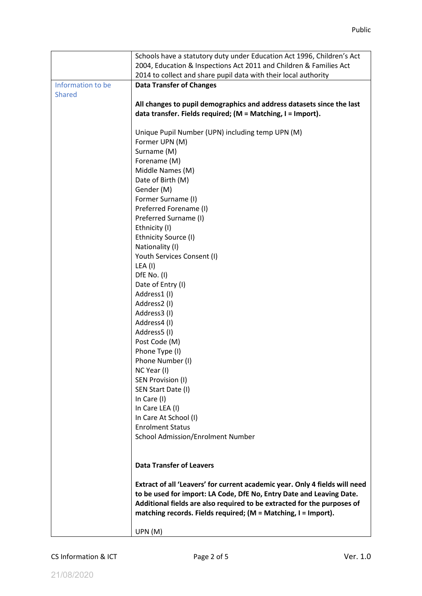|                   | Schools have a statutory duty under Education Act 1996, Children's Act      |
|-------------------|-----------------------------------------------------------------------------|
|                   | 2004, Education & Inspections Act 2011 and Children & Families Act          |
|                   | 2014 to collect and share pupil data with their local authority             |
| Information to be | <b>Data Transfer of Changes</b>                                             |
| <b>Shared</b>     |                                                                             |
|                   | All changes to pupil demographics and address datasets since the last       |
|                   | data transfer. Fields required; (M = Matching, I = Import).                 |
|                   |                                                                             |
|                   | Unique Pupil Number (UPN) including temp UPN (M)                            |
|                   | Former UPN (M)                                                              |
|                   | Surname (M)                                                                 |
|                   | Forename (M)                                                                |
|                   | Middle Names (M)                                                            |
|                   | Date of Birth (M)                                                           |
|                   | Gender (M)                                                                  |
|                   | Former Surname (I)                                                          |
|                   | Preferred Forename (I)                                                      |
|                   | Preferred Surname (I)                                                       |
|                   | Ethnicity (I)                                                               |
|                   | Ethnicity Source (I)                                                        |
|                   | Nationality (I)                                                             |
|                   |                                                                             |
|                   | Youth Services Consent (I)<br>LEA (I)                                       |
|                   |                                                                             |
|                   | DfE No. (I)                                                                 |
|                   | Date of Entry (I)                                                           |
|                   | Address1(I)                                                                 |
|                   | Address2 (I)                                                                |
|                   | Address3(I)                                                                 |
|                   | Address4 (I)                                                                |
|                   | Address5 (I)                                                                |
|                   | Post Code (M)                                                               |
|                   | Phone Type (I)                                                              |
|                   | Phone Number (I)                                                            |
|                   | NC Year (I)                                                                 |
|                   | SEN Provision (I)                                                           |
|                   | SEN Start Date (I)                                                          |
|                   | In Care (I)                                                                 |
|                   | In Care LEA (I)                                                             |
|                   | In Care At School (I)                                                       |
|                   | <b>Enrolment Status</b>                                                     |
|                   | <b>School Admission/Enrolment Number</b>                                    |
|                   |                                                                             |
|                   |                                                                             |
|                   | <b>Data Transfer of Leavers</b>                                             |
|                   |                                                                             |
|                   | Extract of all 'Leavers' for current academic year. Only 4 fields will need |
|                   | to be used for import: LA Code, DfE No, Entry Date and Leaving Date.        |
|                   | Additional fields are also required to be extracted for the purposes of     |
|                   | matching records. Fields required; (M = Matching, I = Import).              |
|                   |                                                                             |
|                   | UPN(M)                                                                      |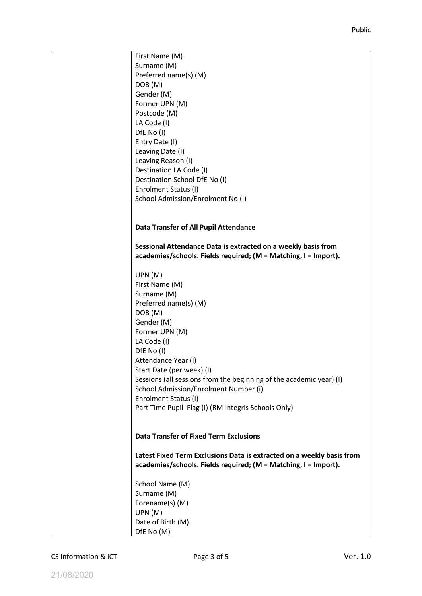| First Name (M)                                                        |
|-----------------------------------------------------------------------|
| Surname (M)                                                           |
| Preferred name(s) (M)                                                 |
| DOB (M)                                                               |
| Gender (M)                                                            |
| Former UPN (M)                                                        |
| Postcode (M)                                                          |
| LA Code (I)                                                           |
| DfE No (I)                                                            |
| Entry Date (I)                                                        |
| Leaving Date (I)                                                      |
| Leaving Reason (I)                                                    |
| Destination LA Code (I)                                               |
| Destination School DfE No (I)                                         |
| Enrolment Status (I)                                                  |
|                                                                       |
| School Admission/Enrolment No (I)                                     |
|                                                                       |
|                                                                       |
| Data Transfer of All Pupil Attendance                                 |
|                                                                       |
| Sessional Attendance Data is extracted on a weekly basis from         |
| academies/schools. Fields required; (M = Matching, I = Import).       |
|                                                                       |
| UPN (M)                                                               |
| First Name (M)                                                        |
| Surname (M)                                                           |
| Preferred name(s) (M)                                                 |
| DOB(M)                                                                |
| Gender (M)                                                            |
| Former UPN (M)                                                        |
| LA Code (I)                                                           |
| DfE No (I)                                                            |
| Attendance Year (I)                                                   |
| Start Date (per week) (I)                                             |
| Sessions (all sessions from the beginning of the academic year) (I)   |
| School Admission/Enrolment Number (i)                                 |
| Enrolment Status (I)                                                  |
| Part Time Pupil Flag (I) (RM Integris Schools Only)                   |
|                                                                       |
|                                                                       |
| <b>Data Transfer of Fixed Term Exclusions</b>                         |
|                                                                       |
| Latest Fixed Term Exclusions Data is extracted on a weekly basis from |
| academies/schools. Fields required; (M = Matching, I = Import).       |
|                                                                       |
| School Name (M)                                                       |
| Surname (M)                                                           |
| Forename(s) (M)                                                       |
| UPN(M)                                                                |
| Date of Birth (M)                                                     |
| DfE No (M)                                                            |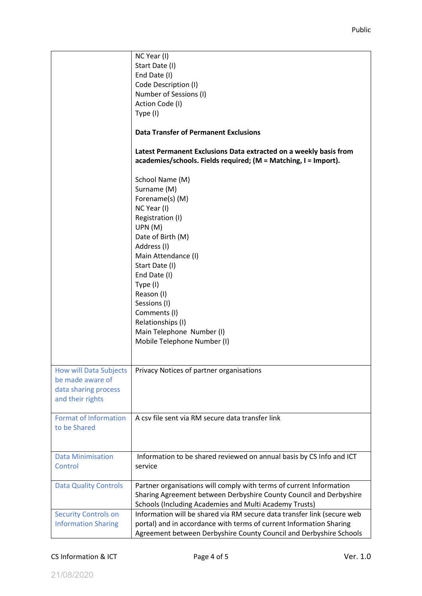|                                                                                               | NC Year (I)<br>Start Date (I)<br>End Date (I)<br>Code Description (I)<br>Number of Sessions (I)<br>Action Code (I)<br>Type (I)<br><b>Data Transfer of Permanent Exclusions</b><br>Latest Permanent Exclusions Data extracted on a weekly basis from<br>academies/schools. Fields required; (M = Matching, I = Import).<br>School Name (M)<br>Surname (M)<br>Forename(s) (M)<br>NC Year (I)<br>Registration (I)<br>UPN(M)<br>Date of Birth (M)<br>Address (I)<br>Main Attendance (I)<br>Start Date (I)<br>End Date (I)<br>Type (I)<br>Reason (I)<br>Sessions (I)<br>Comments (I)<br>Relationships (I)<br>Main Telephone Number (I)<br>Mobile Telephone Number (I) |
|-----------------------------------------------------------------------------------------------|------------------------------------------------------------------------------------------------------------------------------------------------------------------------------------------------------------------------------------------------------------------------------------------------------------------------------------------------------------------------------------------------------------------------------------------------------------------------------------------------------------------------------------------------------------------------------------------------------------------------------------------------------------------|
| <b>How will Data Subjects</b><br>be made aware of<br>data sharing process<br>and their rights | Privacy Notices of partner organisations                                                                                                                                                                                                                                                                                                                                                                                                                                                                                                                                                                                                                         |
| <b>Format of Information</b><br>to be Shared                                                  | A csy file sent via RM secure data transfer link                                                                                                                                                                                                                                                                                                                                                                                                                                                                                                                                                                                                                 |
| <b>Data Minimisation</b><br>Control                                                           | Information to be shared reviewed on annual basis by CS Info and ICT<br>service                                                                                                                                                                                                                                                                                                                                                                                                                                                                                                                                                                                  |
| <b>Data Quality Controls</b>                                                                  | Partner organisations will comply with terms of current Information<br>Sharing Agreement between Derbyshire County Council and Derbyshire<br>Schools (Including Academies and Multi Academy Trusts)                                                                                                                                                                                                                                                                                                                                                                                                                                                              |
| <b>Security Controls on</b><br><b>Information Sharing</b>                                     | Information will be shared via RM secure data transfer link (secure web<br>portal) and in accordance with terms of current Information Sharing<br>Agreement between Derbyshire County Council and Derbyshire Schools                                                                                                                                                                                                                                                                                                                                                                                                                                             |